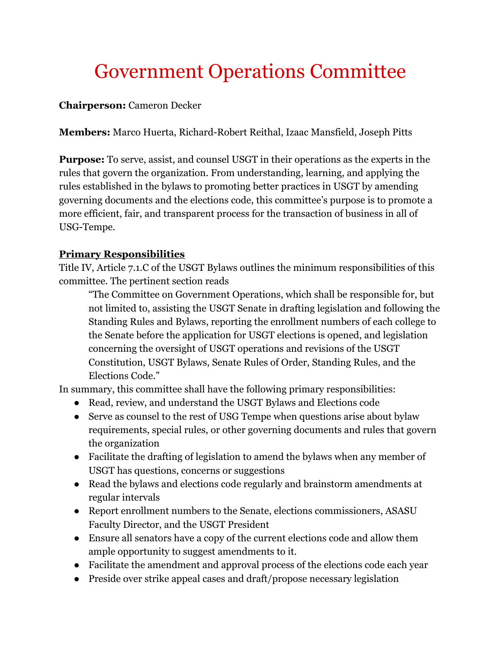## Government Operations Committee

## **Chairperson:** Cameron Decker

**Members:** Marco Huerta, Richard-Robert Reithal, Izaac Mansfield, Joseph Pitts

**Purpose:** To serve, assist, and counsel USGT in their operations as the experts in the rules that govern the organization. From understanding, learning, and applying the rules established in the bylaws to promoting better practices in USGT by amending governing documents and the elections code, this committee's purpose is to promote a more efficient, fair, and transparent process for the transaction of business in all of USG-Tempe.

## **Primary Responsibilities**

Title IV, Article 7.1.C of the USGT Bylaws outlines the minimum responsibilities of this committee. The pertinent section reads

"The Committee on Government Operations, which shall be responsible for, but not limited to, assisting the USGT Senate in drafting legislation and following the Standing Rules and Bylaws, reporting the enrollment numbers of each college to the Senate before the application for USGT elections is opened, and legislation concerning the oversight of USGT operations and revisions of the USGT Constitution, USGT Bylaws, Senate Rules of Order, Standing Rules, and the Elections Code."

In summary, this committee shall have the following primary responsibilities:

- Read, review, and understand the USGT Bylaws and Elections code
- Serve as counsel to the rest of USG Tempe when questions arise about bylaw requirements, special rules, or other governing documents and rules that govern the organization
- Facilitate the drafting of legislation to amend the bylaws when any member of USGT has questions, concerns or suggestions
- Read the bylaws and elections code regularly and brainstorm amendments at regular intervals
- Report enrollment numbers to the Senate, elections commissioners, ASASU Faculty Director, and the USGT President
- Ensure all senators have a copy of the current elections code and allow them ample opportunity to suggest amendments to it.
- Facilitate the amendment and approval process of the elections code each year
- Preside over strike appeal cases and draft/propose necessary legislation